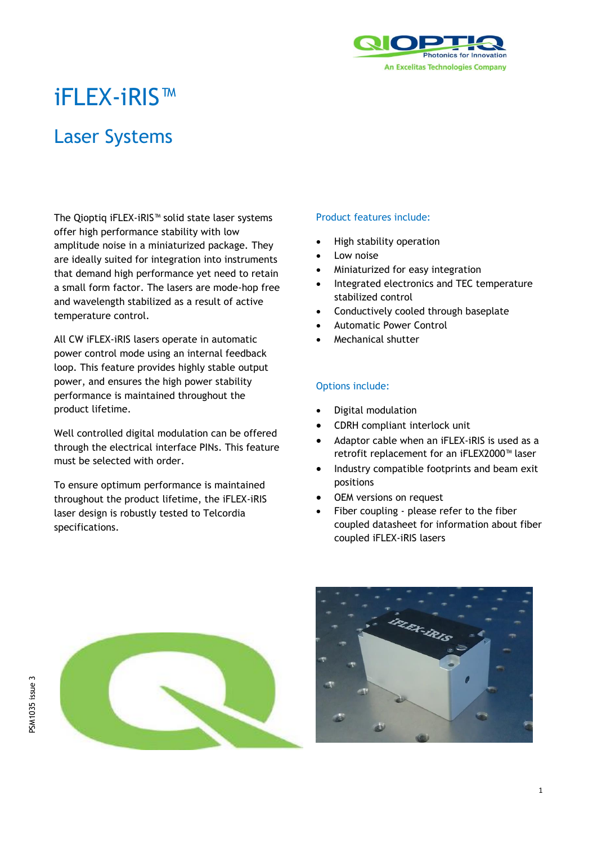

# iFLEX-iRIS™

## Laser Systems

The Qioptiq iFLEX-iRIS™ solid state laser systems offer high performance stability with low amplitude noise in a miniaturized package. They are ideally suited for integration into instruments that demand high performance yet need to retain a small form factor. The lasers are mode-hop free and wavelength stabilized as a result of active temperature control.

All CW iFLEX-iRIS lasers operate in automatic power control mode using an internal feedback loop. This feature provides highly stable output power, and ensures the high power stability performance is maintained throughout the product lifetime.

Well controlled digital modulation can be offered through the electrical interface PINs. This feature must be selected with order.

To ensure optimum performance is maintained throughout the product lifetime, the iFLEX-iRIS laser design is robustly tested to Telcordia specifications.

## Product features include:

- High stability operation
- Low noise
- Miniaturized for easy integration
- Integrated electronics and TEC temperature stabilized control
- Conductively cooled through baseplate
- Automatic Power Control
- Mechanical shutter

## Options include:

- Digital modulation
- CDRH compliant interlock unit
- Adaptor cable when an iFLEX-iRIS is used as a retrofit replacement for an iFLEX2000™ laser
- Industry compatible footprints and beam exit positions
- OEM versions on request
- Fiber coupling please refer to the fiber coupled datasheet for information about fiber coupled iFLEX-iRIS lasers



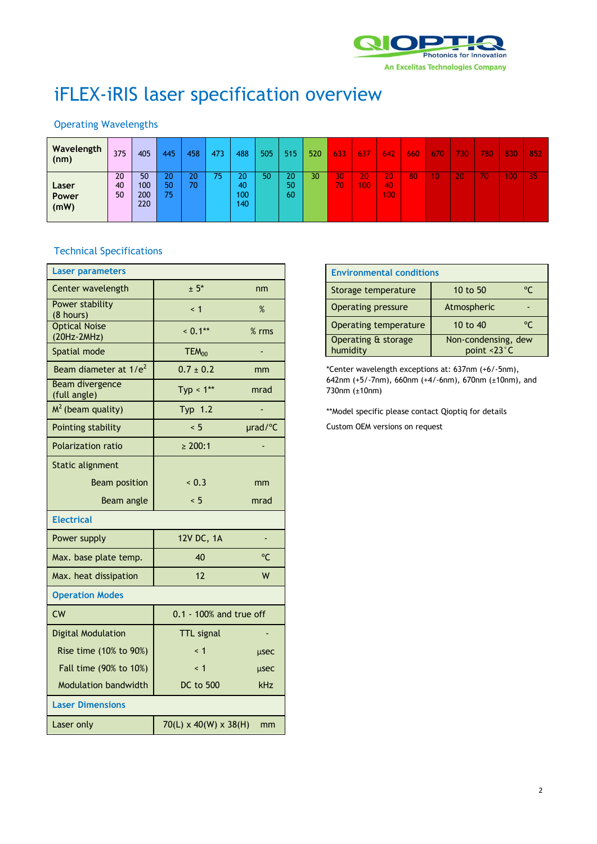

# iFLEX-iRIS laser specification overview

## Operating Wavelengths

| Wavelength<br>(nm) | 375            | 405              | 445            | 458      | 473 | 488             | 505 | 515            | 520 | 633       | 637        | 642             | 660 | 670 | 730 | 780 | 830 | 852 |
|--------------------|----------------|------------------|----------------|----------|-----|-----------------|-----|----------------|-----|-----------|------------|-----------------|-----|-----|-----|-----|-----|-----|
| Laser<br>Power     | 20<br>40<br>50 | 50<br>100<br>200 | 20<br>50<br>75 | 20<br>70 |     | 20<br>40<br>100 | 50  | 20<br>50<br>60 | 30  | 30<br>70. | 20.<br>100 | 20<br>40<br>100 | 80  | 10  | 20  | 70' | 100 | 35  |
| (mW)               |                | 220              |                |          |     | 140             |     |                |     |           |            |                 |     |     |     |     |     |     |

## Technical Specifications

| <b>Laser parameters</b>                |                                   |         |
|----------------------------------------|-----------------------------------|---------|
| Center wavelength                      | $± 5*$                            | nm      |
| <b>Power stability</b><br>(8 hours)    | $\leq 1$                          | $\%$    |
| <b>Optical Noise</b><br>(20Hz-2MHz)    | $< 0.1***$                        | $%$ rms |
| Spatial mode                           | $TEM_{00}$                        |         |
| Beam diameter at 1/e <sup>2</sup>      | $0.7 \pm 0.2$                     | mm      |
| <b>Beam divergence</b><br>(full angle) | Typ < $1**$                       | mrad    |
| $M2$ (beam quality)                    | Typ 1.2                           |         |
| Pointing stability                     | ~< 5                              | urad/°C |
| <b>Polarization ratio</b>              | $\geq 200:1$                      |         |
| Static alignment                       |                                   |         |
| <b>Beam position</b>                   | < 0.3                             | mm      |
| Beam angle                             | < 5                               | mrad    |
| <b>Electrical</b>                      |                                   |         |
| Power supply                           | 12V DC, 1A                        | ÷,      |
| Max. base plate temp.                  | 40                                | °C      |
| Max. heat dissipation                  | 12                                | W       |
| <b>Operation Modes</b>                 |                                   |         |
| CW                                     | 0.1 - 100% and true off           |         |
| <b>Digital Modulation</b>              | <b>TTL</b> signal                 |         |
| Rise time (10% to 90%)                 | < 1                               | usec    |
| Fall time (90% to 10%)                 | $\leq 1$                          | usec    |
| <b>Modulation bandwidth</b>            | <b>DC</b> to 500                  | kHz     |
| <b>Laser Dimensions</b>                |                                   |         |
| Laser only                             | $70(L) \times 40(W) \times 38(H)$ | mm      |

| <b>Environmental conditions</b> |                                    |    |  |  |
|---------------------------------|------------------------------------|----|--|--|
| Storage temperature             | 10 to 50                           | ۰۴ |  |  |
| <b>Operating pressure</b>       | Atmospheric                        |    |  |  |
| Operating temperature           | 10 to 40                           | °C |  |  |
| Operating & storage<br>humidity | Non-condensing, dew<br>point <23°C |    |  |  |
|                                 |                                    |    |  |  |

\*Center wavelength exceptions at: 637nm (+6/-5nm), 642nm (+5/-7nm), 660nm (+4/-6nm), 670nm (±10nm), and 730nm (±10nm)

\*\*Model specific please contact Qioptiq for details

Custom OEM versions on request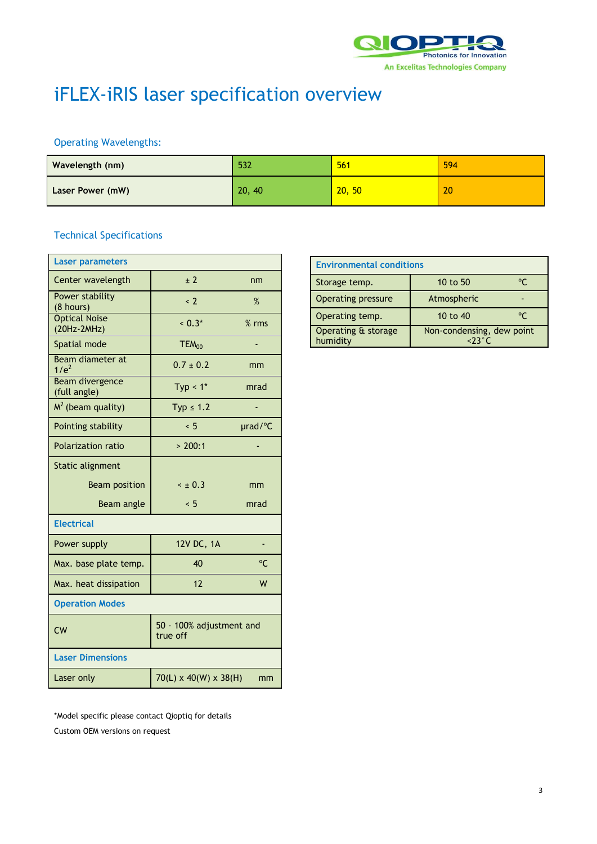

# iFLEX-iRIS laser specification overview

## Operating Wavelengths:

| Wavelength (nm)  | 532    | 561    | 594 |
|------------------|--------|--------|-----|
| Laser Power (mW) | 20, 40 | 20, 50 | 20  |

## Technical Specifications

| <b>Laser parameters</b>                |                                      |         |
|----------------------------------------|--------------------------------------|---------|
| Center wavelength                      | ± 2                                  | nm      |
| Power stability<br>(8 hours)           | $\leq$ 2                             | $\%$    |
| <b>Optical Noise</b><br>(20Hz-2MHz)    | $< 0.3*$                             | $%$ rms |
| Spatial mode                           | TEM <sub>00</sub>                    |         |
| Beam diameter at<br>1/e <sup>2</sup>   | $0.7 \pm 0.2$                        | mm      |
| <b>Beam divergence</b><br>(full angle) | Typ $< 1$ *                          | mrad    |
| $M2$ (beam quality)                    | $Typ \leq 1.2$                       |         |
| Pointing stability                     | < 5                                  | urad/°C |
| <b>Polarization ratio</b>              | > 200:1                              |         |
| Static alignment                       |                                      |         |
| <b>Beam position</b>                   | $\leq \pm 0.3$                       | mm      |
| Beam angle                             | < 5                                  | mrad    |
| <b>Electrical</b>                      |                                      |         |
| Power supply                           | 12V DC, 1A                           | ٠       |
| Max. base plate temp.                  | 40                                   | °C      |
| Max. heat dissipation                  | 12                                   | W       |
| <b>Operation Modes</b>                 |                                      |         |
| <b>CW</b>                              | 50 - 100% adjustment and<br>true off |         |
| <b>Laser Dimensions</b>                |                                      |         |
| Laser only                             | $70(L) \times 40(W) \times 38(H)$    | mm      |

| <b>Environmental conditions</b> |                                              |    |  |
|---------------------------------|----------------------------------------------|----|--|
| Storage temp.                   | 10 to 50                                     | °C |  |
| Operating pressure              | Atmospheric                                  |    |  |
| Operating temp.                 | 10 to 40                                     | °C |  |
| Operating & storage<br>humidity | Non-condensing, dew point<br>$\epsilon$ 23°C |    |  |

\*Model specific please contact Qioptiq for details Custom OEM versions on request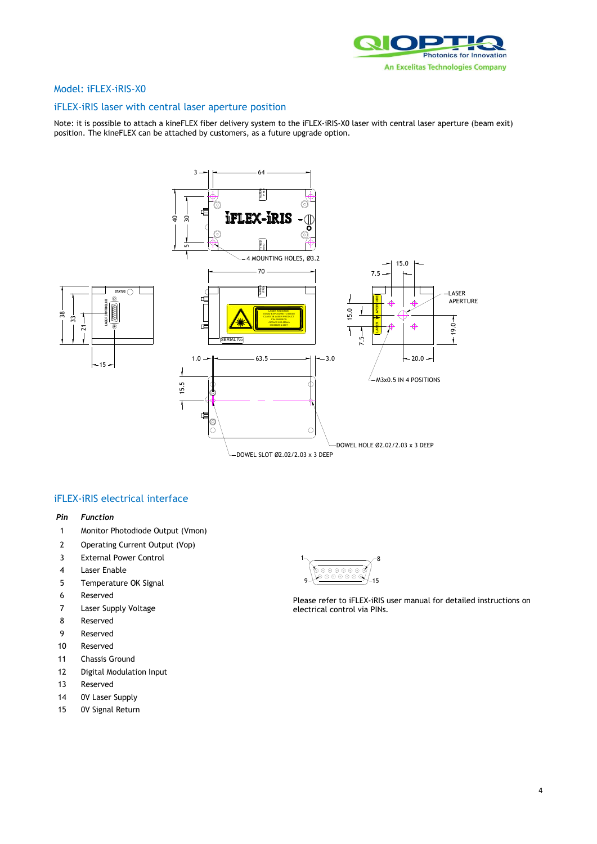

## Model: iFLEX-iRIS-X0

## iFLEX-iRIS laser with central laser aperture position

Note: it is possible to attach a kineFLEX fiber delivery system to the iFLEX-iRIS-X0 laser with central laser aperture (beam exit) position. The kineFLEX can be attached by customers, as a future upgrade option.



### *Pin Function*

- 1 Monitor Photodiode Output (Vmon)
- 2 Operating Current Output (Vop)
- 3 External Power Control
- 4 Laser Enable
- 5 Temperature OK Signal
- 6 Reserved
- 7 Laser Supply Voltage
- 8 Reserved
- 9 Reserved
- 10 Reserved
- 11 Chassis Ground
- 12 Digital Modulation Input
- 13 Reserved
- 14 0V Laser Supply
- 15 0V Signal Return



Please refer to iFLEX-iRIS user manual for detailed instructions on electrical control via PINs.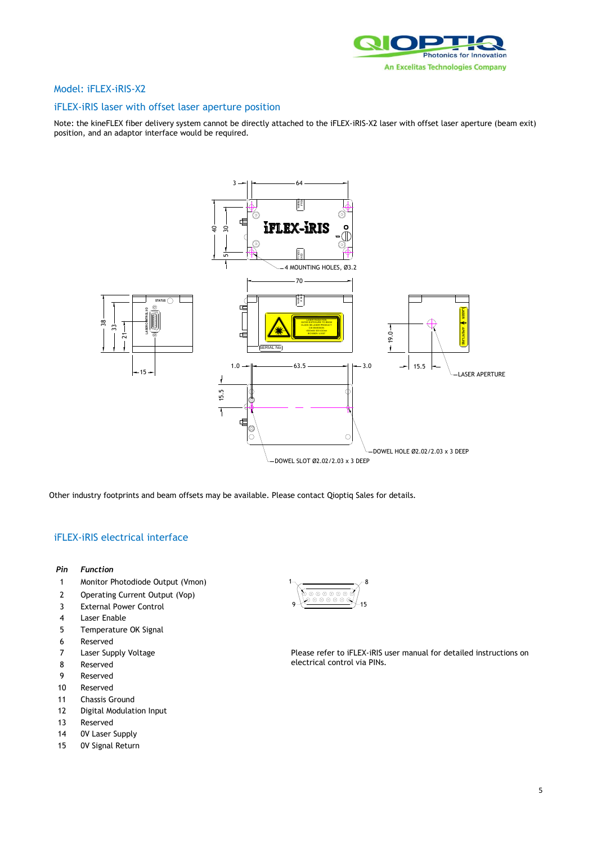

## Model: iFLEX-iRIS-X2

## iFLEX-iRIS laser with offset laser aperture position

Note: the kineFLEX fiber delivery system cannot be directly attached to the iFLEX-iRIS-X2 laser with offset laser aperture (beam exit) position, and an adaptor interface would be required.



Other industry footprints and beam offsets may be available. Please contact Qioptiq Sales for details.

- *Pin Function*
- 1 Monitor Photodiode Output (Vmon)
- 2 Operating Current Output (Vop)
- 3 External Power Control
- 4 Laser Enable
- 5 Temperature OK Signal
- 6 Reserved
- 7 Laser Supply Voltage
- 8 Reserved
- 9 Reserved
- 10 Reserved
- 11 Chassis Ground
- 12 Digital Modulation Input
- 13 Reserved
- 14 0V Laser Supply
- 15 0V Signal Return

1 8 9 15

Please refer to iFLEX-iRIS user manual for detailed instructions on electrical control via PINs.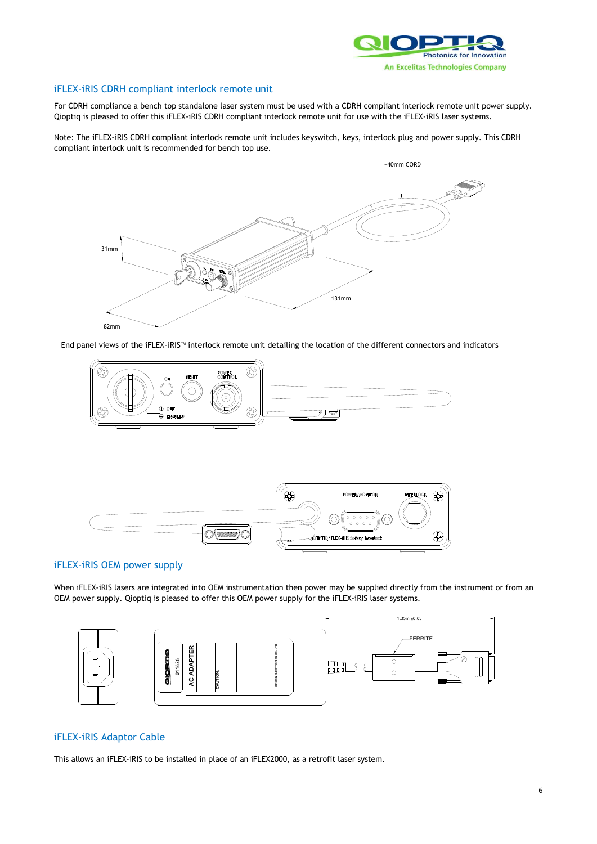

## iFLEX-iRIS CDRH compliant interlock remote unit

For CDRH compliance a bench top standalone laser system must be used with a CDRH compliant interlock remote unit power supply. Qioptiq is pleased to offer this iFLEX-iRIS CDRH compliant interlock remote unit for use with the iFLEX-iRIS laser systems.

Note: The iFLEX-iRIS CDRH compliant interlock remote unit includes keyswitch, keys, interlock plug and power supply. This CDRH compliant interlock unit is recommended for bench top use.



End panel views of the iFLEX-iRIS™ interlock remote unit detailing the location of the different connectors and indicators





## iFLEX-iRIS OEM power supply

When iFLEX-iRIS lasers are integrated into OEM instrumentation then power may be supplied directly from the instrument or from an OEM power supply. Qioptiq is pleased to offer this OEM power supply for the iFLEX-iRIS laser systems.





# FERRITE

## iFLEX-iRIS Adaptor Cable

This allows an iFLEX-iRIS to be installed in place of an iFLEX2000, as a retrofit laser system.